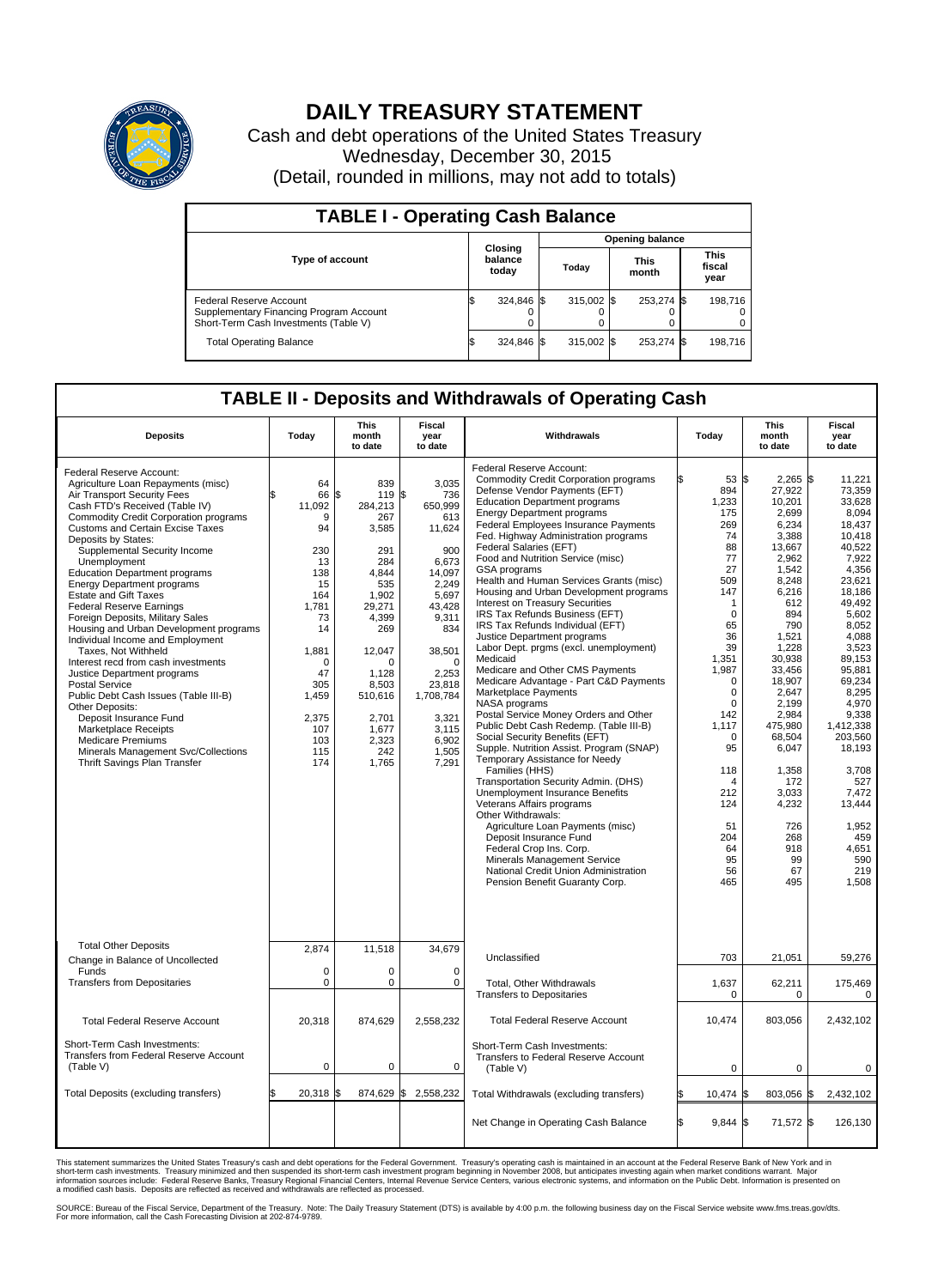

## **DAILY TREASURY STATEMENT**

Cash and debt operations of the United States Treasury Wednesday, December 30, 2015 (Detail, rounded in millions, may not add to totals)

| <b>TABLE I - Operating Cash Balance</b>                                                                     |    |                             |  |                        |  |                      |  |                               |  |  |  |
|-------------------------------------------------------------------------------------------------------------|----|-----------------------------|--|------------------------|--|----------------------|--|-------------------------------|--|--|--|
|                                                                                                             |    |                             |  | <b>Opening balance</b> |  |                      |  |                               |  |  |  |
| <b>Type of account</b>                                                                                      |    | Closing<br>balance<br>today |  | Today                  |  | <b>This</b><br>month |  | <b>This</b><br>fiscal<br>year |  |  |  |
| Federal Reserve Account<br>Supplementary Financing Program Account<br>Short-Term Cash Investments (Table V) |    | 324,846 \$                  |  | $315.002$ \$           |  | 253,274 \$           |  | 198,716                       |  |  |  |
| <b>Total Operating Balance</b>                                                                              | ΙФ | 324,846 \$                  |  | $315.002$ \$           |  | 253,274 \$           |  | 198,716                       |  |  |  |

## **TABLE II - Deposits and Withdrawals of Operating Cash**

| <b>Deposits</b>                                                                                                                                                                                                                                                                                                                                                                                                                                                                                                                                                                                                                                                                                                                                                                                                                                                                                            | Today                                                                                                                                                               | <b>This</b><br>month<br>to date                                                                                                                                                                               | <b>Fiscal</b><br>year<br>to date                                                                                                                                                                                  | Withdrawals                                                                                                                                                                                                                                                                                                                                                                                                                                                                                                                                                                                                                                                                                                                                                                                                                                                                                                                                                                                                                                                                                                                                                                                                                                                                                                                | Today                                                                                                                                                                                                                                                                                | <b>This</b><br>month<br>to date                                                                                                                                                                                                                                                                                 | <b>Fiscal</b><br>year<br>to date                                                                                                                                                                                                                                                                                                    |
|------------------------------------------------------------------------------------------------------------------------------------------------------------------------------------------------------------------------------------------------------------------------------------------------------------------------------------------------------------------------------------------------------------------------------------------------------------------------------------------------------------------------------------------------------------------------------------------------------------------------------------------------------------------------------------------------------------------------------------------------------------------------------------------------------------------------------------------------------------------------------------------------------------|---------------------------------------------------------------------------------------------------------------------------------------------------------------------|---------------------------------------------------------------------------------------------------------------------------------------------------------------------------------------------------------------|-------------------------------------------------------------------------------------------------------------------------------------------------------------------------------------------------------------------|----------------------------------------------------------------------------------------------------------------------------------------------------------------------------------------------------------------------------------------------------------------------------------------------------------------------------------------------------------------------------------------------------------------------------------------------------------------------------------------------------------------------------------------------------------------------------------------------------------------------------------------------------------------------------------------------------------------------------------------------------------------------------------------------------------------------------------------------------------------------------------------------------------------------------------------------------------------------------------------------------------------------------------------------------------------------------------------------------------------------------------------------------------------------------------------------------------------------------------------------------------------------------------------------------------------------------|--------------------------------------------------------------------------------------------------------------------------------------------------------------------------------------------------------------------------------------------------------------------------------------|-----------------------------------------------------------------------------------------------------------------------------------------------------------------------------------------------------------------------------------------------------------------------------------------------------------------|-------------------------------------------------------------------------------------------------------------------------------------------------------------------------------------------------------------------------------------------------------------------------------------------------------------------------------------|
| Federal Reserve Account:<br>Agriculture Loan Repayments (misc)<br>Air Transport Security Fees<br>Cash FTD's Received (Table IV)<br><b>Commodity Credit Corporation programs</b><br><b>Customs and Certain Excise Taxes</b><br>Deposits by States:<br>Supplemental Security Income<br>Unemployment<br><b>Education Department programs</b><br><b>Energy Department programs</b><br><b>Estate and Gift Taxes</b><br><b>Federal Reserve Earnings</b><br>Foreign Deposits, Military Sales<br>Housing and Urban Development programs<br>Individual Income and Employment<br>Taxes, Not Withheld<br>Interest recd from cash investments<br>Justice Department programs<br><b>Postal Service</b><br>Public Debt Cash Issues (Table III-B)<br>Other Deposits:<br>Deposit Insurance Fund<br>Marketplace Receipts<br><b>Medicare Premiums</b><br>Minerals Management Svc/Collections<br>Thrift Savings Plan Transfer | 64<br>66<br>11,092<br>9<br>94<br>230<br>13<br>138<br>15<br>164<br>1,781<br>73<br>14<br>1,881<br>$\Omega$<br>47<br>305<br>1,459<br>2,375<br>107<br>103<br>115<br>174 | 839<br>\$<br>119 \$<br>284,213<br>267<br>3,585<br>291<br>284<br>4,844<br>535<br>1.902<br>29,271<br>4,399<br>269<br>12,047<br>$\Omega$<br>1,128<br>8,503<br>510,616<br>2,701<br>1,677<br>2,323<br>242<br>1,765 | 3,035<br>736<br>650,999<br>613<br>11,624<br>900<br>6,673<br>14,097<br>2,249<br>5.697<br>43,428<br>9,311<br>834<br>38,501<br>$\Omega$<br>2,253<br>23,818<br>1,708,784<br>3,321<br>3,115<br>6.902<br>1,505<br>7,291 | Federal Reserve Account:<br><b>Commodity Credit Corporation programs</b><br>Defense Vendor Payments (EFT)<br><b>Education Department programs</b><br><b>Energy Department programs</b><br><b>Federal Employees Insurance Payments</b><br>Fed. Highway Administration programs<br>Federal Salaries (EFT)<br>Food and Nutrition Service (misc)<br>GSA programs<br>Health and Human Services Grants (misc)<br>Housing and Urban Development programs<br>Interest on Treasury Securities<br>IRS Tax Refunds Business (EFT)<br>IRS Tax Refunds Individual (EFT)<br>Justice Department programs<br>Labor Dept. prgms (excl. unemployment)<br>Medicaid<br>Medicare and Other CMS Payments<br>Medicare Advantage - Part C&D Payments<br>Marketplace Payments<br>NASA programs<br>Postal Service Money Orders and Other<br>Public Debt Cash Redemp. (Table III-B)<br>Social Security Benefits (EFT)<br>Supple. Nutrition Assist. Program (SNAP)<br>Temporary Assistance for Needy<br>Families (HHS)<br>Transportation Security Admin. (DHS)<br>Unemployment Insurance Benefits<br>Veterans Affairs programs<br>Other Withdrawals:<br>Agriculture Loan Payments (misc)<br>Deposit Insurance Fund<br>Federal Crop Ins. Corp.<br>Minerals Management Service<br>National Credit Union Administration<br>Pension Benefit Guaranty Corp. | 53 \$<br>894<br>1,233<br>175<br>269<br>74<br>88<br>77<br>27<br>509<br>147<br>$\mathbf{1}$<br>$\mathbf 0$<br>65<br>36<br>39<br>1,351<br>1,987<br>$\mathbf 0$<br>0<br>$\mathbf 0$<br>142<br>1,117<br>$\mathbf 0$<br>95<br>118<br>4<br>212<br>124<br>51<br>204<br>64<br>95<br>56<br>465 | $2,265$ \$<br>27,922<br>10,201<br>2,699<br>6.234<br>3,388<br>13,667<br>2,962<br>1,542<br>8,248<br>6,216<br>612<br>894<br>790<br>1,521<br>1.228<br>30,938<br>33,456<br>18.907<br>2,647<br>2.199<br>2,984<br>475,980<br>68,504<br>6,047<br>1,358<br>172<br>3,033<br>4,232<br>726<br>268<br>918<br>99<br>67<br>495 | 11,221<br>73,359<br>33,628<br>8,094<br>18.437<br>10,418<br>40,522<br>7,922<br>4.356<br>23,621<br>18,186<br>49.492<br>5,602<br>8,052<br>4.088<br>3,523<br>89,153<br>95,881<br>69.234<br>8,295<br>4.970<br>9,338<br>1,412,338<br>203,560<br>18,193<br>3,708<br>527<br>7,472<br>13,444<br>1,952<br>459<br>4,651<br>590<br>219<br>1,508 |
| <b>Total Other Deposits</b><br>Change in Balance of Uncollected<br>Funds                                                                                                                                                                                                                                                                                                                                                                                                                                                                                                                                                                                                                                                                                                                                                                                                                                   | 2,874<br>$\mathbf 0$                                                                                                                                                | 11,518<br>0                                                                                                                                                                                                   | 34,679<br>0                                                                                                                                                                                                       | Unclassified                                                                                                                                                                                                                                                                                                                                                                                                                                                                                                                                                                                                                                                                                                                                                                                                                                                                                                                                                                                                                                                                                                                                                                                                                                                                                                               | 703                                                                                                                                                                                                                                                                                  | 21,051                                                                                                                                                                                                                                                                                                          | 59,276                                                                                                                                                                                                                                                                                                                              |
| <b>Transfers from Depositaries</b>                                                                                                                                                                                                                                                                                                                                                                                                                                                                                                                                                                                                                                                                                                                                                                                                                                                                         | $\pmb{0}$                                                                                                                                                           | 0                                                                                                                                                                                                             | $\mathbf 0$                                                                                                                                                                                                       | Total, Other Withdrawals<br><b>Transfers to Depositaries</b>                                                                                                                                                                                                                                                                                                                                                                                                                                                                                                                                                                                                                                                                                                                                                                                                                                                                                                                                                                                                                                                                                                                                                                                                                                                               | 1,637<br>0                                                                                                                                                                                                                                                                           | 62,211<br>0                                                                                                                                                                                                                                                                                                     | 175,469<br>0                                                                                                                                                                                                                                                                                                                        |
| <b>Total Federal Reserve Account</b>                                                                                                                                                                                                                                                                                                                                                                                                                                                                                                                                                                                                                                                                                                                                                                                                                                                                       | 20,318                                                                                                                                                              | 874,629                                                                                                                                                                                                       | 2,558,232                                                                                                                                                                                                         | <b>Total Federal Reserve Account</b>                                                                                                                                                                                                                                                                                                                                                                                                                                                                                                                                                                                                                                                                                                                                                                                                                                                                                                                                                                                                                                                                                                                                                                                                                                                                                       | 10,474                                                                                                                                                                                                                                                                               | 803,056                                                                                                                                                                                                                                                                                                         | 2,432,102                                                                                                                                                                                                                                                                                                                           |
| Short-Term Cash Investments:<br>Transfers from Federal Reserve Account<br>(Table V)                                                                                                                                                                                                                                                                                                                                                                                                                                                                                                                                                                                                                                                                                                                                                                                                                        | $\pmb{0}$                                                                                                                                                           | 0                                                                                                                                                                                                             | 0                                                                                                                                                                                                                 | Short-Term Cash Investments:<br>Transfers to Federal Reserve Account<br>(Table V)                                                                                                                                                                                                                                                                                                                                                                                                                                                                                                                                                                                                                                                                                                                                                                                                                                                                                                                                                                                                                                                                                                                                                                                                                                          | $\mathbf 0$                                                                                                                                                                                                                                                                          | $\mathbf 0$                                                                                                                                                                                                                                                                                                     | 0                                                                                                                                                                                                                                                                                                                                   |
| Total Deposits (excluding transfers)                                                                                                                                                                                                                                                                                                                                                                                                                                                                                                                                                                                                                                                                                                                                                                                                                                                                       | 20,318<br>\$                                                                                                                                                        | 874,629 \$<br>\$                                                                                                                                                                                              | 2,558,232                                                                                                                                                                                                         | Total Withdrawals (excluding transfers)                                                                                                                                                                                                                                                                                                                                                                                                                                                                                                                                                                                                                                                                                                                                                                                                                                                                                                                                                                                                                                                                                                                                                                                                                                                                                    | 10,474 \$                                                                                                                                                                                                                                                                            | 803,056 \$                                                                                                                                                                                                                                                                                                      | 2,432,102                                                                                                                                                                                                                                                                                                                           |
|                                                                                                                                                                                                                                                                                                                                                                                                                                                                                                                                                                                                                                                                                                                                                                                                                                                                                                            |                                                                                                                                                                     |                                                                                                                                                                                                               |                                                                                                                                                                                                                   | Net Change in Operating Cash Balance                                                                                                                                                                                                                                                                                                                                                                                                                                                                                                                                                                                                                                                                                                                                                                                                                                                                                                                                                                                                                                                                                                                                                                                                                                                                                       | l\$<br>$9,844$ \$                                                                                                                                                                                                                                                                    | 71,572 \$                                                                                                                                                                                                                                                                                                       | 126,130                                                                                                                                                                                                                                                                                                                             |

This statement summarizes the United States Treasury's cash and debt operations for the Federal Government. Treasury's operating cash is maintained in an account at the Federal Reserve Bank of New York and in<br>short-term ca

SOURCE: Bureau of the Fiscal Service, Department of the Treasury. Note: The Daily Treasury Statement (DTS) is available by 4:00 p.m. the following business day on the Fiscal Service website www.fms.treas.gov/dts.<br>For more